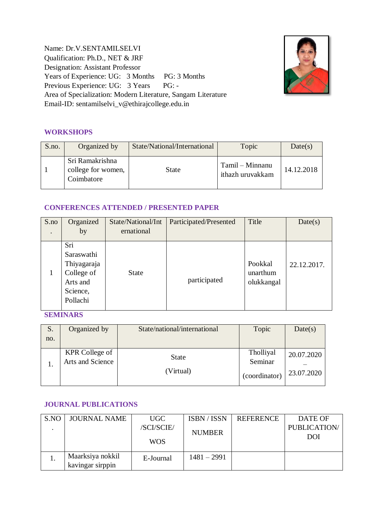Name: Dr.V.SENTAMILSELVI Qualification: Ph.D., NET & JRF Designation: Assistant Professor Years of Experience: UG: 3 Months PG: 3 Months Previous Experience: UG: 3 Years PG: -Area of Specialization: Modern Literature, Sangam Literature Email-ID: sentamilselvi\_v@ethirajcollege.edu.in



### **WORKSHOPS**

| S.no. | Organized by                                        | State/National/International | Topic                               | Date(s)    |
|-------|-----------------------------------------------------|------------------------------|-------------------------------------|------------|
|       | Sri Ramakrishna<br>college for women,<br>Coimbatore | State                        | Tamil – Minnanu<br>ithazh uruvakkam | 14.12.2018 |

#### **CONFERENCES ATTENDED / PRESENTED PAPER**

| S.no      | Organized                                                                          | State/National/Int | Participated/Presented | Title                             | Date(s)     |
|-----------|------------------------------------------------------------------------------------|--------------------|------------------------|-----------------------------------|-------------|
| $\bullet$ | by                                                                                 | ernational         |                        |                                   |             |
|           | Sri<br>Saraswathi<br>Thiyagaraja<br>College of<br>Arts and<br>Science,<br>Pollachi | <b>State</b>       | participated           | Pookkal<br>unarthum<br>olukkangal | 22.12.2017. |

**SEMINARS**

| S.  | Organized by          | State/national/international | Topic         | Date(s)    |
|-----|-----------------------|------------------------------|---------------|------------|
| no. |                       |                              |               |            |
|     | <b>KPR College of</b> | <b>State</b>                 | Tholliyal     | 20.07.2020 |
|     | Arts and Science      |                              | Seminar       |            |
|     |                       | (Virtual)                    | (coordinator) | 23.07.2020 |
|     |                       |                              |               |            |

#### **JOURNAL PUBLICATIONS**

| S.NO | <b>JOURNAL NAME</b>                  | UGC        | <b>ISBN</b> / <b>ISSN</b> | <b>REFERENCE</b> | DATE OF             |
|------|--------------------------------------|------------|---------------------------|------------------|---------------------|
|      |                                      | /SCI/SCIE/ | <b>NUMBER</b>             |                  | <b>PUBLICATION/</b> |
|      |                                      | <b>WOS</b> |                           |                  | DOI                 |
|      | Maarksiya nokkil<br>kavingar sirppin | E-Journal  | 1481 – 2991               |                  |                     |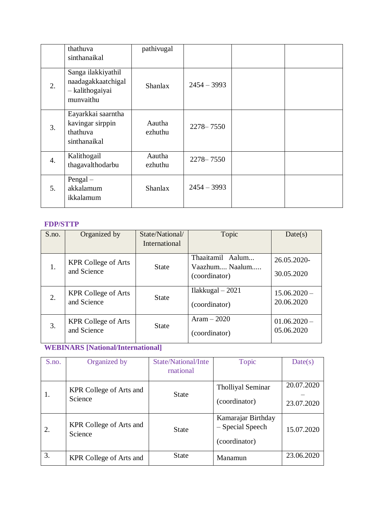|                  | thathuva<br>sinthanaikal                                                 | pathivugal        |               |  |
|------------------|--------------------------------------------------------------------------|-------------------|---------------|--|
| 2.               | Sanga ilakkiyathil<br>naadagakkaatchigal<br>- kalithogaiyai<br>munvaithu | <b>Shanlax</b>    | $2454 - 3993$ |  |
| 3.               | Eayarkkai saarntha<br>kavingar sirppin<br>thathuva<br>sinthanaikal       | Aautha<br>ezhuthu | $2278 - 7550$ |  |
| $\overline{4}$ . | Kalithogail<br>thagavalthodarbu                                          | Aautha<br>ezhuthu | $2278 - 7550$ |  |
| 5 <sub>1</sub>   | $Pengal -$<br>akkalamum<br>ikkalamum                                     | <b>Shanlax</b>    | $2454 - 3993$ |  |

## **FDP/STTP**

| S.no. | Organized by               | State/National/ | Topic                           | Date(s)        |
|-------|----------------------------|-----------------|---------------------------------|----------------|
|       |                            | International   |                                 |                |
|       | <b>KPR College of Arts</b> |                 | Thaaitamil Aalum                | 26.05.2020-    |
| 1.    | and Science                | <b>State</b>    | Vaazhum Naalum<br>(coordinator) | 30.05.2020     |
| 2.    | <b>KPR College of Arts</b> | <b>State</b>    | $IIakkugal - 2021$              | $15.06.2020 -$ |
|       | and Science                |                 | (coordinator)                   | 20.06.2020     |
| 3.    | <b>KPR College of Arts</b> | <b>State</b>    | Aram $-2020$                    | $01.06.2020 -$ |
|       | and Science                |                 | (coordinator)                   | 05.06.2020     |

# **WEBINARS [National/International]**

| S.no. | Organized by            | State/National/Inte | <b>Topic</b>                      | Date(s)    |
|-------|-------------------------|---------------------|-----------------------------------|------------|
|       |                         | rnational           |                                   |            |
|       | KPR College of Arts and |                     | <b>Tholliyal Seminar</b>          | 20.07.2020 |
| 1.    | Science                 | <b>State</b>        | (coordinator)                     | 23.07.2020 |
|       | KPR College of Arts and |                     | Kamarajar Birthday                |            |
| 2.    | Science                 | <b>State</b>        | - Special Speech<br>(coordinator) | 15.07.2020 |
| 3.    | KPR College of Arts and | <b>State</b>        | Manamun                           | 23.06.2020 |